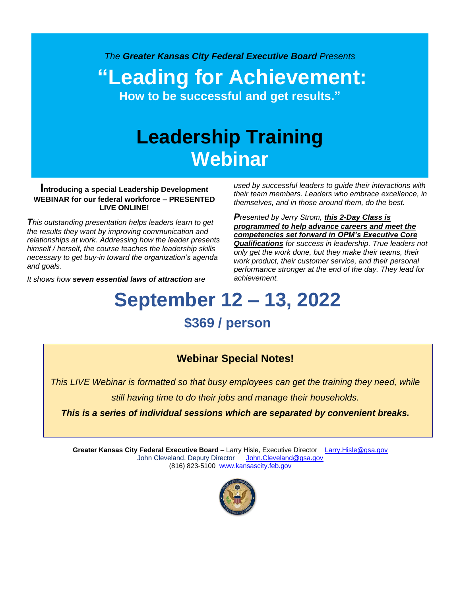*The Greater Kansas City Federal Executive Board Presents*

**"Leading for Achievement: How to be successful and get results."**

# **Leadership Training Webinar**

#### **Introducing a special Leadership Development WEBINAR for our federal workforce – PRESENTED LIVE ONLINE!**

*This outstanding presentation helps leaders learn to get the results they want by improving communication and relationships at work. Addressing how the leader presents himself / herself, the course teaches the leadership skills necessary to get buy-in toward the organization's agenda and goals.*

*It shows how seven essential laws of attraction are*

*used by successful leaders to guide their interactions with their team members. Leaders who embrace excellence, in themselves, and in those around them, do the best.*

*Presented by Jerry Strom, this 2-Day Class is programmed to help advance careers and meet the competencies set forward in OPM's Executive Core Qualifications for success in leadership. True leaders not only get the work done, but they make their teams, their work product, their customer service, and their personal performance stronger at the end of the day. They lead for achievement.*

# **September 12 – 13, 2022**

# **\$369 / person**

## **Webinar Special Notes!**

*This LIVE Webinar is formatted so that busy employees can get the training they need, while* 

*still having time to do their jobs and manage their households.* 

*This is a series of individual sessions which are separated by convenient breaks.*

**Greater Kansas City Federal Executive Board** – Larry Hisle, Executive Director [Larry.Hisle@gsa.gov](mailto:Larry.Hisle@gsa.gov) John Cleveland, Deputy Director [John.Cleveland@gsa.gov](mailto:John.Cleveland@gsa.gov) (816) 823-5100 [www.kansascity.feb.gov](http://www.kansascity.feb.gov/)

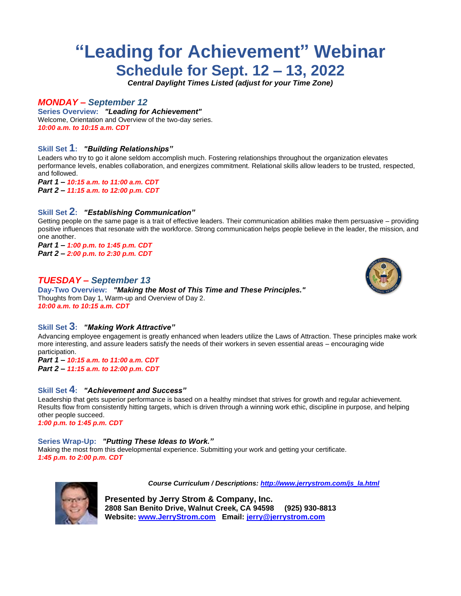# **"Leading for Achievement" Webinar Schedule for Sept. 12 – 13, 2022**

*Central Daylight Times Listed (adjust for your Time Zone)*

#### *MONDAY – September 12*

**Series Overview:** *"Leading for Achievement"* Welcome, Orientation and Overview of the two-day series. *10:00 a.m. to 10:15 a.m. CDT*

#### **Skill Set 1:** *"Building Relationships"*

Leaders who try to go it alone seldom accomplish much. Fostering relationships throughout the organization elevates performance levels, enables collaboration, and energizes commitment. Relational skills allow leaders to be trusted, respected, and followed.

*Part 1 – 10:15 a.m. to 11:00 a.m. CDT Part 2 – 11:15 a.m. to 12:00 p.m. CDT*

#### **Skill Set 2:** *"Establishing Communication"*

Getting people on the same page is a trait of effective leaders. Their communication abilities make them persuasive – providing positive influences that resonate with the workforce. Strong communication helps people believe in the leader, the mission, and one another.

*Part 1 – 1:00 p.m. to 1:45 p.m. CDT Part 2 – 2:00 p.m. to 2:30 p.m. CDT*

#### *TUESDAY – September 13*

**Day-Two Overview:** *"Making the Most of This Time and These Principles."* Thoughts from Day 1, Warm-up and Overview of Day 2. *10:00 a.m. to 10:15 a.m. CDT*



#### **Skill Set 3:** *"Making Work Attractive"*

Advancing employee engagement is greatly enhanced when leaders utilize the Laws of Attraction. These principles make work more interesting, and assure leaders satisfy the needs of their workers in seven essential areas – encouraging wide participation.

*Part 1 – 10:15 a.m. to 11:00 a.m. CDT Part 2 – 11:15 a.m. to 12:00 p.m. CDT*

#### **Skill Set 4:** *"Achievement and Success"*

Leadership that gets superior performance is based on a healthy mindset that strives for growth and regular achievement. Results flow from consistently hitting targets, which is driven through a winning work ethic, discipline in purpose, and helping other people succeed.

*1:00 p.m. to 1:45 p.m. CDT*

#### **Series Wrap-Up:** *"Putting These Ideas to Work."*

Making the most from this developmental experience. Submitting your work and getting your certificate. *1:45 p.m. to 2:00 p.m. CDT*



*Course Curriculum / Descriptions: [http://www.jerrystrom.com/js\\_la.html](http://www.jerrystrom.com/js_la.html)*

**Presented by Jerry Strom & Company, Inc. 2808 San Benito Drive, Walnut Creek, CA 94598 (925) 930-8813 Website: [www.JerryStrom.com](http://www.jerrystrom.com/) Email: [jerry@jerrystrom.com](mailto:jerry@jerrystrom.com)**